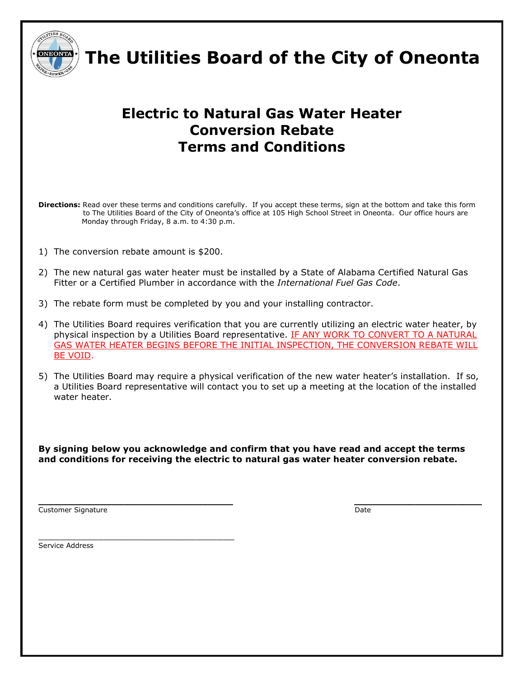

 **The Utilities Board of the City of Oneonta**

## **Electric to Natural Gas Water Heater Conversion Rebate Terms and Conditions**

**Directions:** Read over these terms and conditions carefully. If you accept these terms, sign at the bottom and take this form to The Utilities Board of the City of Oneonta's office at 105 High School Street in Oneonta. Our office hours are Monday through Friday, 8 a.m. to 4:30 p.m.

1) The conversion rebate amount is \$200.

\_\_\_\_\_\_\_\_\_\_\_\_\_\_\_\_\_\_\_\_\_\_\_\_\_\_\_\_\_\_\_\_\_\_\_\_

- 2) The new natural gas water heater must be installed by a State of Alabama Certified Natural Gas Fitter or a Certified Plumber in accordance with the *International Fuel Gas Code*.
- 3) The rebate form must be completed by you and your installing contractor.
- 4) The Utilities Board requires verification that you are currently utilizing an electric water heater, by physical inspection by a Utilities Board representative. IF ANY WORK TO CONVERT TO A NATURAL GAS WATER HEATER BEGINS BEFORE THE INITIAL INSPECTION, THE CONVERSION REBATE WILL BE VOID.
- 5) The Utilities Board may require a physical verification of the new water heater's installation. If so, a Utilities Board representative will contact you to set up a meeting at the location of the installed water heater.

**By signing below you acknowledge and confirm that you have read and accept the terms and conditions for receiving the electric to natural gas water heater conversion rebate.**

Customer Signature **Date** Date of Customer Signature **Date** 

**\_\_\_\_\_\_\_\_\_\_\_\_\_\_\_\_\_\_\_\_\_\_\_\_\_\_\_\_\_\_\_\_ \_\_\_\_\_\_\_\_\_\_\_\_\_\_\_\_\_\_\_\_\_**

Service Address